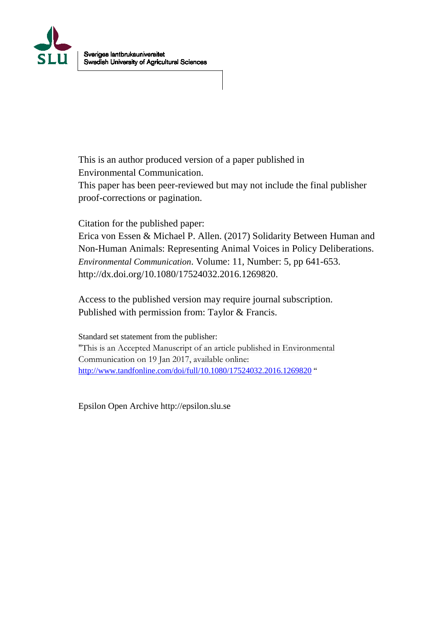

This is an author produced version of a paper published in Environmental Communication.

This paper has been peer-reviewed but may not include the final publisher proof-corrections or pagination.

Citation for the published paper:

Erica von Essen & Michael P. Allen. (2017) Solidarity Between Human and Non-Human Animals: Representing Animal Voices in Policy Deliberations. *Environmental Communication*. Volume: 11, Number: 5, pp 641-653. http://dx.doi.org/10.1080/17524032.2016.1269820.

Access to the published version may require journal subscription. Published with permission from: Taylor & Francis.

Standard set statement from the publisher: "This is an Accepted Manuscript of an article published in Environmental Communication on 19 Jan 2017, available online: <http://www.tandfonline.com/doi/full/10.1080/17524032.2016.1269820> "

Epsilon Open Archive http://epsilon.slu.se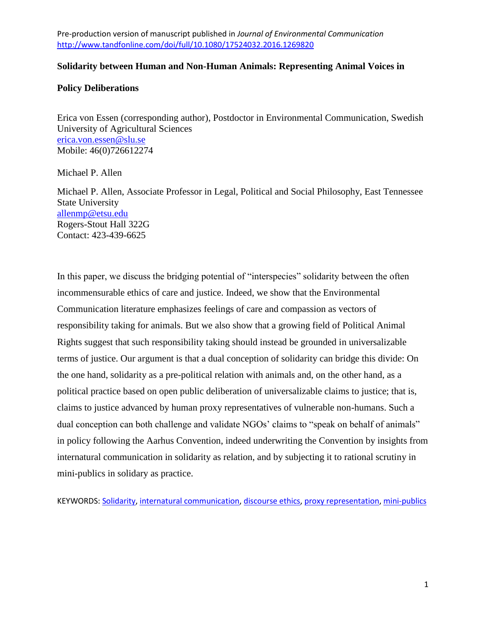## **Solidarity between Human and Non-Human Animals: Representing Animal Voices in**

#### **Policy Deliberations**

Erica von Essen (corresponding author), Postdoctor in Environmental Communication, Swedish University of Agricultural Sciences [erica.von.essen@slu.se](mailto:erica.von.essen@slu.se) Mobile: 46(0)726612274

Michael P. Allen

Michael P. Allen, Associate Professor in Legal, Political and Social Philosophy, East Tennessee State University [allenmp@etsu.edu](mailto:allenmp@etsu.edu) Rogers-Stout Hall 322G Contact: 423-439-6625

In this paper, we discuss the bridging potential of "interspecies" solidarity between the often incommensurable ethics of care and justice. Indeed, we show that the Environmental Communication literature emphasizes feelings of care and compassion as vectors of responsibility taking for animals. But we also show that a growing field of Political Animal Rights suggest that such responsibility taking should instead be grounded in universalizable terms of justice. Our argument is that a dual conception of solidarity can bridge this divide: On the one hand, solidarity as a pre-political relation with animals and, on the other hand, as a political practice based on open public deliberation of universalizable claims to justice; that is, claims to justice advanced by human proxy representatives of vulnerable non-humans. Such a dual conception can both challenge and validate NGOs' claims to "speak on behalf of animals" in policy following the Aarhus Convention, indeed underwriting the Convention by insights from internatural communication in solidarity as relation, and by subjecting it to rational scrutiny in mini-publics in solidary as practice.

KEYWORDS[: Solidarity,](http://www.tandfonline.com/keyword/Solidarity) [internatural communication,](http://www.tandfonline.com/keyword/Internatural+Communication) [discourse ethics,](http://www.tandfonline.com/keyword/Discourse+Ethics) [proxy representation,](http://www.tandfonline.com/keyword/Proxy+Representation) [mini-publics](http://www.tandfonline.com/keyword/Mini-publics)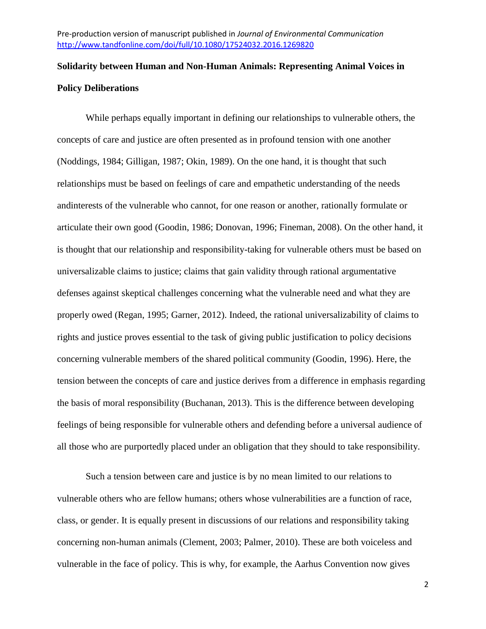# **Solidarity between Human and Non-Human Animals: Representing Animal Voices in Policy Deliberations**

While perhaps equally important in defining our relationships to vulnerable others, the concepts of care and justice are often presented as in profound tension with one another [\(Noddings, 1984;](#page-28-0) [Gilligan, 1987;](#page-27-0) [Okin, 1989\)](#page-28-1). On the one hand, it is thought that such relationships must be based on feelings of care and empathetic understanding of the needs andinterests of the vulnerable who cannot, for one reason or another, rationally formulate or articulate their own good [\(Goodin, 1986;](#page-27-1) [Donovan, 1996;](#page-26-0) [Fineman, 2008\)](#page-26-1). On the other hand, it is thought that our relationship and responsibility-taking for vulnerable others must be based on universalizable claims to justice; claims that gain validity through rational argumentative defenses against skeptical challenges concerning what the vulnerable need and what they are properly owed [\(Regan, 1995;](#page-28-2) [Garner, 2012\)](#page-27-2). Indeed, the rational universalizability of claims to rights and justice proves essential to the task of giving public justification to policy decisions concerning vulnerable members of the shared political community [\(Goodin, 1996\)](#page-27-3). Here, the tension between the concepts of care and justice derives from a difference in emphasis regarding the basis of moral responsibility [\(Buchanan, 2013\)](#page-26-2). This is the difference between developing feelings of being responsible for vulnerable others and defending before a universal audience of all those who are purportedly placed under an obligation that they should to take responsibility.

Such a tension between care and justice is by no mean limited to our relations to vulnerable others who are fellow humans; others whose vulnerabilities are a function of race, class, or gender. It is equally present in discussions of our relations and responsibility taking concerning non-human animals [\(Clement, 2003;](#page-26-3) [Palmer, 2010\)](#page-28-3). These are both voiceless and vulnerable in the face of policy. This is why, for example, the Aarhus Convention now gives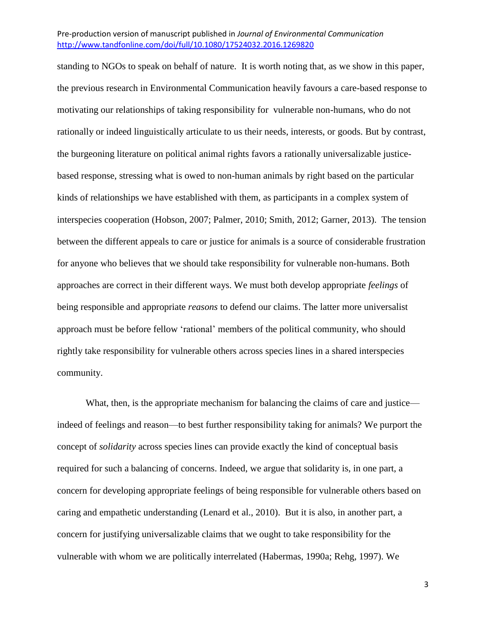standing to NGOs to speak on behalf of nature. It is worth noting that, as we show in this paper, the previous research in Environmental Communication heavily favours a care-based response to motivating our relationships of taking responsibility for vulnerable non-humans, who do not rationally or indeed linguistically articulate to us their needs, interests, or goods. But by contrast, the burgeoning literature on political animal rights favors a rationally universalizable justicebased response, stressing what is owed to non-human animals by right based on the particular kinds of relationships we have established with them, as participants in a complex system of interspecies cooperation [\(Hobson, 2007;](#page-27-4) [Palmer, 2010;](#page-28-3) [Smith, 2012;](#page-28-4) [Garner,](#page-27-5) 2013). The tension between the different appeals to care or justice for animals is a source of considerable frustration for anyone who believes that we should take responsibility for vulnerable non-humans. Both approaches are correct in their different ways. We must both develop appropriate *feelings* of being responsible and appropriate *reasons* to defend our claims. The latter more universalist approach must be before fellow 'rational' members of the political community, who should rightly take responsibility for vulnerable others across species lines in a shared interspecies community.

What, then, is the appropriate mechanism for balancing the claims of care and justice indeed of feelings and reason—to best further responsibility taking for animals? We purport the concept of *solidarity* across species lines can provide exactly the kind of conceptual basis required for such a balancing of concerns. Indeed, we argue that solidarity is, in one part, a concern for developing appropriate feelings of being responsible for vulnerable others based on caring and empathetic understanding [\(Lenard et al., 2010\)](#page-27-6). But it is also, in another part, a concern for justifying universalizable claims that we ought to take responsibility for the vulnerable with whom we are politically interrelated [\(Habermas, 1990a;](#page-27-7) [Rehg, 1997\)](#page-28-5). We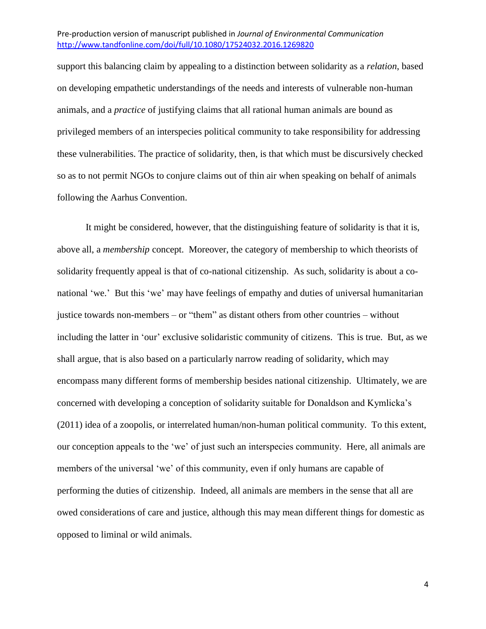support this balancing claim by appealing to a distinction between solidarity as a *relation*, based on developing empathetic understandings of the needs and interests of vulnerable non-human animals, and a *practice* of justifying claims that all rational human animals are bound as privileged members of an interspecies political community to take responsibility for addressing these vulnerabilities. The practice of solidarity, then, is that which must be discursively checked so as to not permit NGOs to conjure claims out of thin air when speaking on behalf of animals following the Aarhus Convention.

It might be considered, however, that the distinguishing feature of solidarity is that it is, above all, a *membership* concept. Moreover, the category of membership to which theorists of solidarity frequently appeal is that of co-national citizenship. As such, solidarity is about a conational 'we.' But this 'we' may have feelings of empathy and duties of universal humanitarian justice towards non-members – or "them" as distant others from other countries – without including the latter in 'our' exclusive solidaristic community of citizens. This is true. But, as we shall argue, that is also based on a particularly narrow reading of solidarity, which may encompass many different forms of membership besides national citizenship. Ultimately, we are concerned with developing a conception of solidarity suitable for Donaldson and Kymlicka's (2011) idea of a zoopolis, or interrelated human/non-human political community. To this extent, our conception appeals to the 'we' of just such an interspecies community. Here, all animals are members of the universal 'we' of this community, even if only humans are capable of performing the duties of citizenship. Indeed, all animals are members in the sense that all are owed considerations of care and justice, although this may mean different things for domestic as opposed to liminal or wild animals.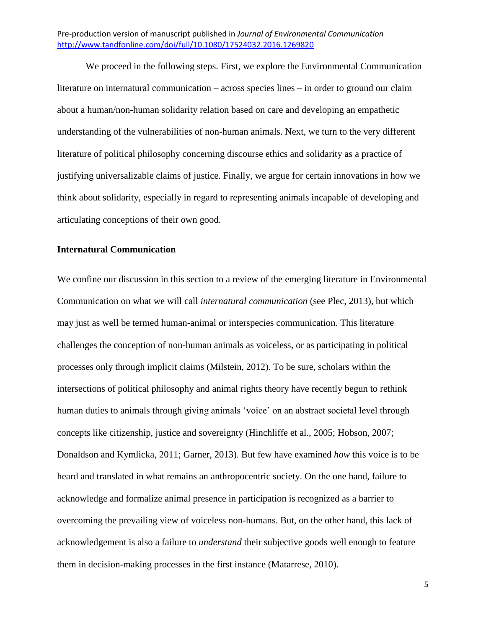We proceed in the following steps. First, we explore the Environmental Communication literature on internatural communication – across species lines – in order to ground our claim about a human/non-human solidarity relation based on care and developing an empathetic understanding of the vulnerabilities of non-human animals. Next, we turn to the very different literature of political philosophy concerning discourse ethics and solidarity as a practice of justifying universalizable claims of justice. Finally, we argue for certain innovations in how we think about solidarity, especially in regard to representing animals incapable of developing and articulating conceptions of their own good.

### **Internatural Communication**

We confine our discussion in this section to a review of the emerging literature in Environmental Communication on what we will call *internatural communication* (see Plec, 2013), but which may just as well be termed human-animal or interspecies communication. This literature challenges the conception of non-human animals as voiceless, or as participating in political processes only through implicit claims [\(Milstein, 2012\)](#page-28-6). To be sure, scholars within the intersections of political philosophy and animal rights theory have recently begun to rethink human duties to animals through giving animals 'voice' on an abstract societal level through concepts like citizenship, justice and sovereignty [\(Hinchliffe et al., 2005;](#page-27-8) [Hobson, 2007;](#page-27-4) [Donaldson and Kymlicka, 2011;](#page-26-4) [Garner, 2013\)](#page-27-5). But few have examined *how* this voice is to be heard and translated in what remains an anthropocentric society. On the one hand, failure to acknowledge and formalize animal presence in participation is recognized as a barrier to overcoming the prevailing view of voiceless non-humans. But, on the other hand, this lack of acknowledgement is also a failure to *understand* their subjective goods well enough to feature them in decision-making processes in the first instance [\(Matarrese, 2010\)](#page-27-9).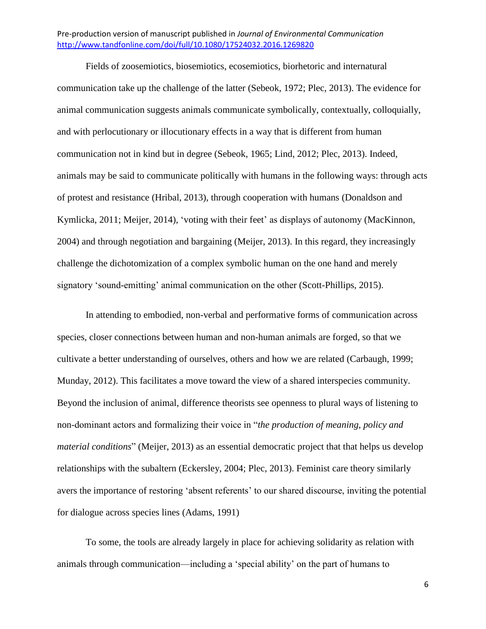Fields of zoosemiotics, biosemiotics, ecosemiotics, biorhetoric and internatural communication take up the challenge of the latter [\(Sebeok, 1972;](#page-28-7) [Plec, 2013\)](#page-28-8). The evidence for animal communication suggests animals communicate symbolically, contextually, colloquially, and with perlocutionary or illocutionary effects in a way that is different from human communication not in kind but in degree [\(Sebeok, 1965;](#page-28-9) [Lind, 2012;](#page-27-10) [Plec, 2013\)](#page-28-8). Indeed, animals may be said to communicate politically with humans in the following ways: through acts of protest and resistance [\(Hribal, 2013\)](#page-27-11), through cooperation with humans [\(Donaldson and](#page-26-4)  [Kymlicka, 2011;](#page-26-4) [Meijer, 2014\)](#page-28-10), 'voting with their feet' as displays of autonomy [\(MacKinnon,](#page-27-12)  [2004\)](#page-27-12) and through negotiation and bargaining [\(Meijer, 2013\)](#page-27-13). In this regard, they increasingly challenge the dichotomization of a complex symbolic human on the one hand and merely signatory 'sound-emitting' animal communication on the other [\(Scott-Phillips, 2015\)](#page-28-11).

In attending to embodied, non-verbal and performative forms of communication across species, closer connections between human and non-human animals are forged, so that we cultivate a better understanding of ourselves, others and how we are related [\(Carbaugh, 1999;](#page-26-5) [Munday, 2012\)](#page-28-12). This facilitates a move toward the view of a shared interspecies community. Beyond the inclusion of animal, difference theorists see openness to plural ways of listening to non-dominant actors and formalizing their voice in "*the production of meaning, policy and material conditions*" [\(Meijer, 2013\)](#page-27-13) as an essential democratic project that that helps us develop relationships with the subaltern [\(Eckersley, 2004;](#page-26-6) [Plec, 2013\)](#page-28-8). Feminist care theory similarly avers the importance of restoring 'absent referents' to our shared discourse, inviting the potential for dialogue across species lines [\(Adams, 1991\)](#page-26-7)

To some, the tools are already largely in place for achieving solidarity as relation with animals through communication—including a 'special ability' on the part of humans to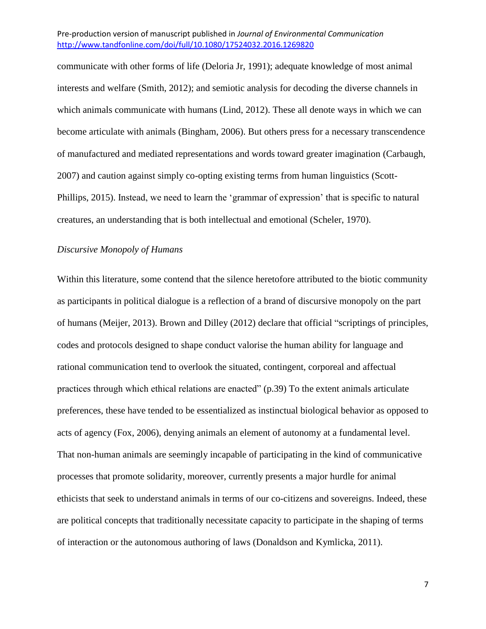communicate with other forms of life [\(Deloria Jr, 1991\)](#page-26-8); adequate knowledge of most animal interests and welfare [\(Smith, 2012\)](#page-28-4); and semiotic analysis for decoding the diverse channels in which animals communicate with humans [\(Lind, 2012\)](#page-27-10). These all denote ways in which we can become articulate with animals [\(Bingham, 2006\)](#page-26-9). But others press for a necessary transcendence of manufactured and mediated representations and words toward greater imagination [\(Carbaugh,](#page-26-10)  [2007\)](#page-26-10) and caution against simply co-opting existing terms from human linguistics [\(Scott-](#page-28-11)[Phillips, 2015\)](#page-28-11). Instead, we need to learn the 'grammar of expression' that is specific to natural creatures, an understanding that is both intellectual and emotional [\(Scheler, 1970\)](#page-28-13).

## *Discursive Monopoly of Humans*

Within this literature, some contend that the silence heretofore attributed to the biotic community as participants in political dialogue is a reflection of a brand of discursive monopoly on the part of humans [\(Meijer, 2013\)](#page-27-13). [Brown and Dilley \(2012\)](#page-26-11) declare that official "scriptings of principles, codes and protocols designed to shape conduct valorise the human ability for language and rational communication tend to overlook the situated, contingent, corporeal and affectual practices through which ethical relations are enacted" (p.39) To the extent animals articulate preferences, these have tended to be essentialized as instinctual biological behavior as opposed to acts of agency [\(Fox, 2006\)](#page-26-12), denying animals an element of autonomy at a fundamental level. That non-human animals are seemingly incapable of participating in the kind of communicative processes that promote solidarity, moreover, currently presents a major hurdle for animal ethicists that seek to understand animals in terms of our co-citizens and sovereigns. Indeed, these are political concepts that traditionally necessitate capacity to participate in the shaping of terms of interaction or the autonomous authoring of laws [\(Donaldson and Kymlicka, 2011\)](#page-26-4).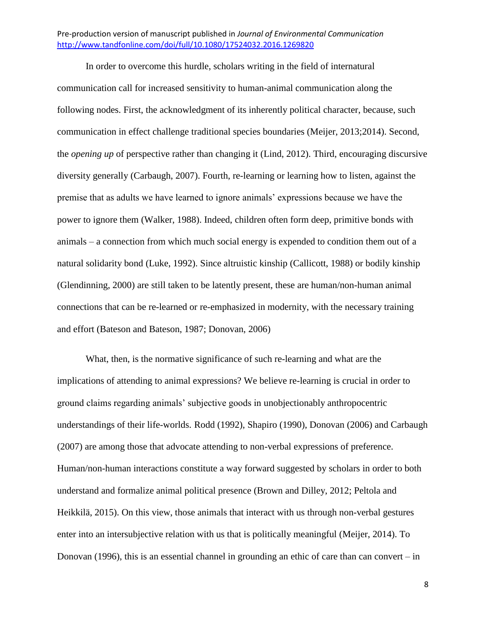In order to overcome this hurdle, scholars writing in the field of internatural communication call for increased sensitivity to human-animal communication along the following nodes. First, the acknowledgment of its inherently political character, because, such communication in effect challenge traditional species boundaries [\(Meijer, 2013](#page-27-13)[;2014\)](#page-28-10). Second, the *opening up* of perspective rather than changing it [\(Lind, 2012\)](#page-27-10). Third, encouraging discursive diversity generally [\(Carbaugh, 2007\)](#page-26-10). Fourth, re-learning or learning how to listen, against the premise that as adults we have learned to ignore animals' expressions because we have the power to ignore them [\(Walker, 1988\)](#page-28-14). Indeed, children often form deep, primitive bonds with animals – a connection from which much social energy is expended to condition them out of a natural solidarity bond [\(Luke, 1992\)](#page-27-14). Since altruistic kinship [\(Callicott, 1988\)](#page-26-13) or bodily kinship [\(Glendinning, 2000\)](#page-27-15) are still taken to be latently present, these are human/non-human animal connections that can be re-learned or re-emphasized in modernity, with the necessary training and effort [\(Bateson and Bateson, 1987;](#page-26-14) [Donovan, 2006\)](#page-26-15)

What, then, is the normative significance of such re-learning and what are the implications of attending to animal expressions? We believe re-learning is crucial in order to ground claims regarding animals' subjective goods in unobjectionably anthropocentric understandings of their life-worlds. [Rodd \(1992\),](#page-28-15) [Shapiro \(1990\),](#page-28-16) [Donovan \(2006\)](#page-26-15) and [Carbaugh](#page-26-10)  (2007) are among those that advocate attending to non-verbal expressions of preference. Human/non-human interactions constitute a way forward suggested by scholars in order to both understand and formalize animal political presence [\(Brown and Dilley, 2012;](#page-26-11) [Peltola and](#page-28-17)  [Heikkilä, 2015\)](#page-28-17). On this view, those animals that interact with us through non-verbal gestures enter into an intersubjective relation with us that is politically meaningful [\(Meijer, 2014\)](#page-28-10). To [Donovan \(1996\),](#page-26-0) this is an essential channel in grounding an ethic of care than can convert – in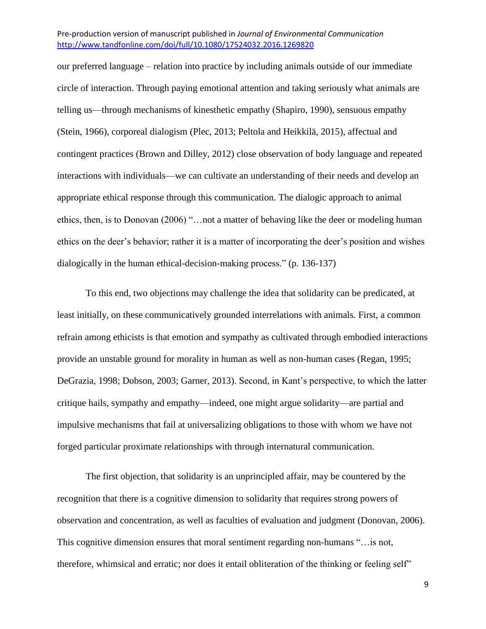our preferred language – relation into practice by including animals outside of our immediate circle of interaction. Through paying emotional attention and taking seriously what animals are telling us—through mechanisms of kinesthetic empathy [\(Shapiro, 1990\)](#page-28-16), sensuous empathy [\(Stein, 1966\)](#page-28-18), corporeal dialogism [\(Plec, 2013;](#page-28-8) [Peltola and Heikkilä, 2015\)](#page-28-17), affectual and contingent practices [\(Brown and Dilley, 2012\)](#page-26-11) close observation of body language and repeated interactions with individuals—we can cultivate an understanding of their needs and develop an appropriate ethical response through this communication. The dialogic approach to animal ethics, then, is to Donovan (2006) "…not a matter of behaving like the deer or modeling human ethics on the deer's behavior; rather it is a matter of incorporating the deer's position and wishes dialogically in the human ethical-decision-making process." (p. 136-137)

To this end, two objections may challenge the idea that solidarity can be predicated, at least initially, on these communicatively grounded interrelations with animals. First, a common refrain among ethicists is that emotion and sympathy as cultivated through embodied interactions provide an unstable ground for morality in human as well as non-human cases [\(Regan, 1995;](#page-28-2) [DeGrazia, 1998;](#page-26-16) [Dobson, 2003;](#page-26-17) [Garner, 2013\)](#page-27-5). Second, in Kant's perspective, to which the latter critique hails, sympathy and empathy—indeed, one might argue solidarity—are partial and impulsive mechanisms that fail at universalizing obligations to those with whom we have not forged particular proximate relationships with through internatural communication.

The first objection, that solidarity is an unprincipled affair, may be countered by the recognition that there is a cognitive dimension to solidarity that requires strong powers of observation and concentration, as well as faculties of evaluation and judgment [\(Donovan, 2006\)](#page-26-15). This cognitive dimension ensures that moral sentiment regarding non-humans "…is not, therefore, whimsical and erratic; nor does it entail obliteration of the thinking or feeling self"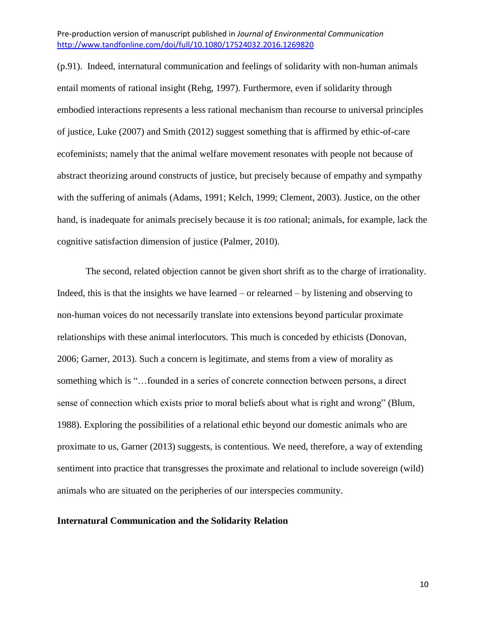(p.91). Indeed, internatural communication and feelings of solidarity with non-human animals entail moments of rational insight [\(Rehg, 1997\)](#page-28-5). Furthermore, even if solidarity through embodied interactions represents a less rational mechanism than recourse to universal principles of justice, [Luke \(2007\)](#page-27-16) and [Smith \(2012\)](#page-28-4) suggest something that is affirmed by ethic-of-care ecofeminists; namely that the animal welfare movement resonates with people not because of abstract theorizing around constructs of justice, but precisely because of empathy and sympathy with the suffering of animals [\(Adams, 1991;](#page-26-7) [Kelch, 1999;](#page-27-17) [Clement, 2003\)](#page-26-3). Justice, on the other hand, is inadequate for animals precisely because it is *too* rational; animals, for example, lack the cognitive satisfaction dimension of justice [\(Palmer, 2010\)](#page-28-3).

The second, related objection cannot be given short shrift as to the charge of irrationality. Indeed, this is that the insights we have learned – or relearned – by listening and observing to non-human voices do not necessarily translate into extensions beyond particular proximate relationships with these animal interlocutors. This much is conceded by ethicists [\(Donovan,](#page-26-15)  [2006;](#page-26-15) [Garner, 2013\)](#page-27-5). Such a concern is legitimate, and stems from a view of morality as something which is "…founded in a series of concrete connection between persons, a direct sense of connection which exists prior to moral beliefs about what is right and wrong" [\(Blum,](#page-26-18)  [1988\)](#page-26-18). Exploring the possibilities of a relational ethic beyond our domestic animals who are proximate to us, [Garner \(2013\)](#page-27-5) suggests, is contentious. We need, therefore, a way of extending sentiment into practice that transgresses the proximate and relational to include sovereign (wild) animals who are situated on the peripheries of our interspecies community.

#### **Internatural Communication and the Solidarity Relation**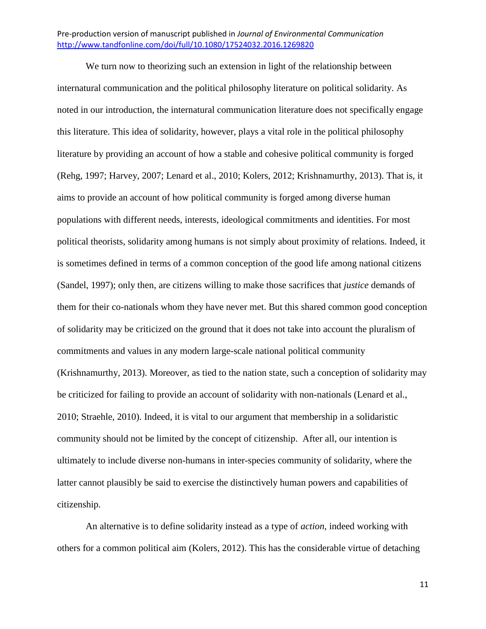We turn now to theorizing such an extension in light of the relationship between internatural communication and the political philosophy literature on political solidarity. As noted in our introduction, the internatural communication literature does not specifically engage this literature. This idea of solidarity, however, plays a vital role in the political philosophy literature by providing an account of how a stable and cohesive political community is forged [\(Rehg, 1997;](#page-28-5) [Harvey, 2007;](#page-27-18) [Lenard et al., 2010;](#page-27-6) [Kolers, 2012;](#page-27-19) [Krishnamurthy, 2013\)](#page-27-20). That is, it aims to provide an account of how political community is forged among diverse human populations with different needs, interests, ideological commitments and identities. For most political theorists, solidarity among humans is not simply about proximity of relations. Indeed, it is sometimes defined in terms of a common conception of the good life among national citizens [\(Sandel, 1997\)](#page-28-19); only then, are citizens willing to make those sacrifices that *justice* demands of them for their co-nationals whom they have never met. But this shared common good conception of solidarity may be criticized on the ground that it does not take into account the pluralism of commitments and values in any modern large-scale national political community [\(Krishnamurthy, 2013\)](#page-27-20). Moreover, as tied to the nation state, such a conception of solidarity may be criticized for failing to provide an account of solidarity with non-nationals [\(Lenard et al.,](#page-27-6)  [2010;](#page-27-6) [Straehle, 2010\)](#page-28-20). Indeed, it is vital to our argument that membership in a solidaristic community should not be limited by the concept of citizenship. After all, our intention is ultimately to include diverse non-humans in inter-species community of solidarity, where the latter cannot plausibly be said to exercise the distinctively human powers and capabilities of citizenship.

An alternative is to define solidarity instead as a type of *action*, indeed working with others for a common political aim [\(Kolers, 2012\)](#page-27-19). This has the considerable virtue of detaching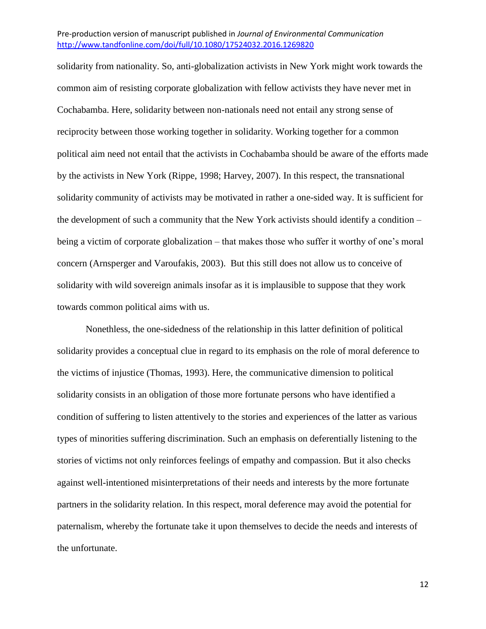solidarity from nationality. So, anti-globalization activists in New York might work towards the common aim of resisting corporate globalization with fellow activists they have never met in Cochabamba. Here, solidarity between non-nationals need not entail any strong sense of reciprocity between those working together in solidarity. Working together for a common political aim need not entail that the activists in Cochabamba should be aware of the efforts made by the activists in New York [\(Rippe, 1998;](#page-28-21) [Harvey, 2007\)](#page-27-18). In this respect, the transnational solidarity community of activists may be motivated in rather a one-sided way. It is sufficient for the development of such a community that the New York activists should identify a condition – being a victim of corporate globalization – that makes those who suffer it worthy of one's moral concern [\(Arnsperger and Varoufakis, 2003\)](#page-26-19). But this still does not allow us to conceive of solidarity with wild sovereign animals insofar as it is implausible to suppose that they work towards common political aims with us.

Nonethless, the one-sidedness of the relationship in this latter definition of political solidarity provides a conceptual clue in regard to its emphasis on the role of moral deference to the victims of injustice [\(Thomas, 1993\)](#page-28-22). Here, the communicative dimension to political solidarity consists in an obligation of those more fortunate persons who have identified a condition of suffering to listen attentively to the stories and experiences of the latter as various types of minorities suffering discrimination. Such an emphasis on deferentially listening to the stories of victims not only reinforces feelings of empathy and compassion. But it also checks against well-intentioned misinterpretations of their needs and interests by the more fortunate partners in the solidarity relation. In this respect, moral deference may avoid the potential for paternalism, whereby the fortunate take it upon themselves to decide the needs and interests of the unfortunate.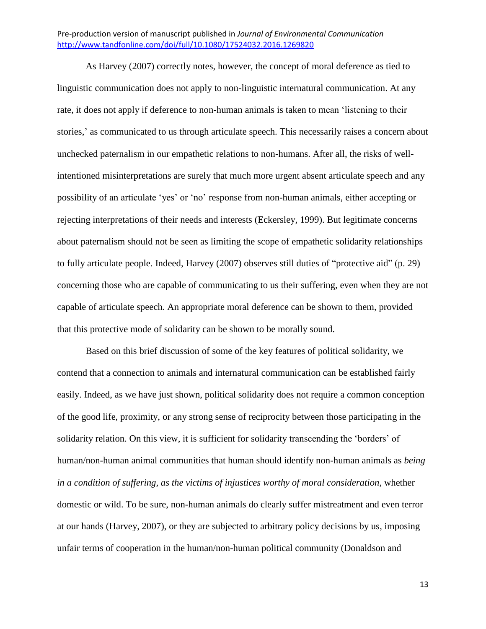As [Harvey \(2007\)](#page-27-18) correctly notes, however, the concept of moral deference as tied to linguistic communication does not apply to non-linguistic internatural communication. At any rate, it does not apply if deference to non-human animals is taken to mean 'listening to their stories,' as communicated to us through articulate speech. This necessarily raises a concern about unchecked paternalism in our empathetic relations to non-humans. After all, the risks of wellintentioned misinterpretations are surely that much more urgent absent articulate speech and any possibility of an articulate 'yes' or 'no' response from non-human animals, either accepting or rejecting interpretations of their needs and interests [\(Eckersley, 1999\)](#page-26-20). But legitimate concerns about paternalism should not be seen as limiting the scope of empathetic solidarity relationships to fully articulate people. Indeed, [Harvey \(2007\)](#page-27-18) observes still duties of "protective aid" (p. 29) concerning those who are capable of communicating to us their suffering, even when they are not capable of articulate speech. An appropriate moral deference can be shown to them, provided that this protective mode of solidarity can be shown to be morally sound.

Based on this brief discussion of some of the key features of political solidarity, we contend that a connection to animals and internatural communication can be established fairly easily. Indeed, as we have just shown, political solidarity does not require a common conception of the good life, proximity, or any strong sense of reciprocity between those participating in the solidarity relation. On this view, it is sufficient for solidarity transcending the 'borders' of human/non-human animal communities that human should identify non-human animals as *being in a condition of suffering, as the victims of injustices worthy of moral consideration,* whether domestic or wild. To be sure, non-human animals do clearly suffer mistreatment and even terror at our hands [\(Harvey, 2007\)](#page-27-18), or they are subjected to arbitrary policy decisions by us, imposing unfair terms of cooperation in the human/non-human political community (Donaldson and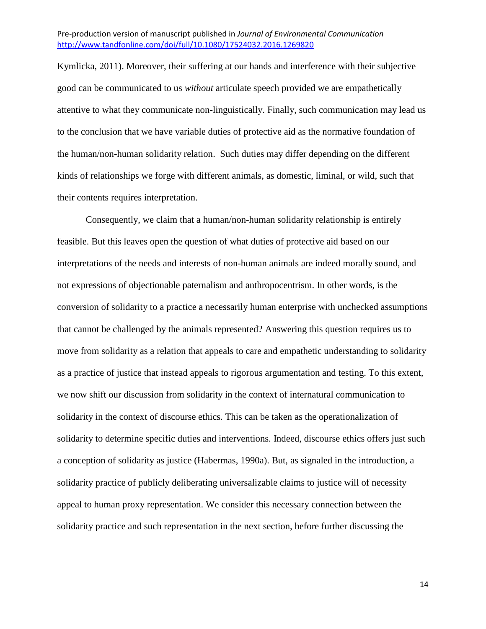Kymlicka, 2011). Moreover, their suffering at our hands and interference with their subjective good can be communicated to us *without* articulate speech provided we are empathetically attentive to what they communicate non-linguistically. Finally, such communication may lead us to the conclusion that we have variable duties of protective aid as the normative foundation of the human/non-human solidarity relation. Such duties may differ depending on the different kinds of relationships we forge with different animals, as domestic, liminal, or wild, such that their contents requires interpretation.

Consequently, we claim that a human/non-human solidarity relationship is entirely feasible. But this leaves open the question of what duties of protective aid based on our interpretations of the needs and interests of non-human animals are indeed morally sound, and not expressions of objectionable paternalism and anthropocentrism. In other words, is the conversion of solidarity to a practice a necessarily human enterprise with unchecked assumptions that cannot be challenged by the animals represented? Answering this question requires us to move from solidarity as a relation that appeals to care and empathetic understanding to solidarity as a practice of justice that instead appeals to rigorous argumentation and testing. To this extent, we now shift our discussion from solidarity in the context of internatural communication to solidarity in the context of discourse ethics. This can be taken as the operationalization of solidarity to determine specific duties and interventions. Indeed, discourse ethics offers just such a conception of solidarity as justice [\(Habermas, 1990a\)](#page-27-7). But, as signaled in the introduction, a solidarity practice of publicly deliberating universalizable claims to justice will of necessity appeal to human proxy representation. We consider this necessary connection between the solidarity practice and such representation in the next section, before further discussing the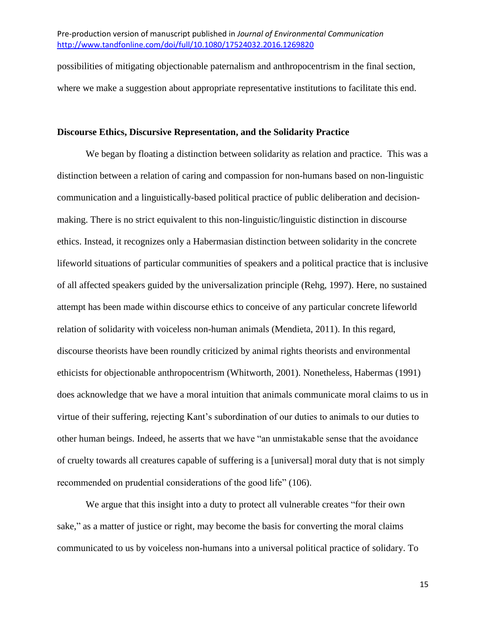possibilities of mitigating objectionable paternalism and anthropocentrism in the final section, where we make a suggestion about appropriate representative institutions to facilitate this end.

## **Discourse Ethics, Discursive Representation, and the Solidarity Practice**

We began by floating a distinction between solidarity as relation and practice. This was a distinction between a relation of caring and compassion for non-humans based on non-linguistic communication and a linguistically-based political practice of public deliberation and decisionmaking. There is no strict equivalent to this non-linguistic/linguistic distinction in discourse ethics. Instead, it recognizes only a Habermasian distinction between solidarity in the concrete lifeworld situations of particular communities of speakers and a political practice that is inclusive of all affected speakers guided by the universalization principle [\(Rehg, 1997\)](#page-28-5). Here, no sustained attempt has been made within discourse ethics to conceive of any particular concrete lifeworld relation of solidarity with voiceless non-human animals [\(Mendieta, 2011\)](#page-28-23). In this regard, discourse theorists have been roundly criticized by animal rights theorists and environmental ethicists for objectionable anthropocentrism [\(Whitworth, 2001\)](#page-28-24). Nonetheless, Habermas (1991) does acknowledge that we have a moral intuition that animals communicate moral claims to us in virtue of their suffering, rejecting Kant's subordination of our duties to animals to our duties to other human beings. Indeed, he asserts that we have "an unmistakable sense that the avoidance of cruelty towards all creatures capable of suffering is a [universal] moral duty that is not simply recommended on prudential considerations of the good life" (106).

We argue that this insight into a duty to protect all vulnerable creates "for their own sake," as a matter of justice or right, may become the basis for converting the moral claims communicated to us by voiceless non-humans into a universal political practice of solidary. To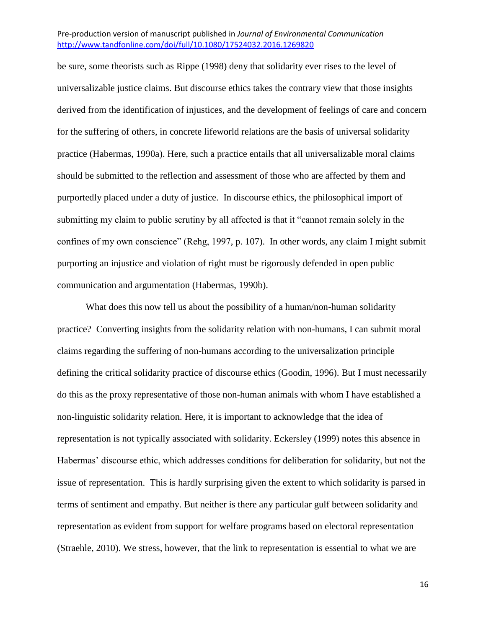be sure, some theorists such as [Rippe \(1998\)](#page-28-21) deny that solidarity ever rises to the level of universalizable justice claims. But discourse ethics takes the contrary view that those insights derived from the identification of injustices, and the development of feelings of care and concern for the suffering of others, in concrete lifeworld relations are the basis of universal solidarity practice [\(Habermas, 1990a\)](#page-27-7). Here, such a practice entails that all universalizable moral claims should be submitted to the reflection and assessment of those who are affected by them and purportedly placed under a duty of justice. In discourse ethics, the philosophical import of submitting my claim to public scrutiny by all affected is that it "cannot remain solely in the confines of my own conscience" (Rehg, 1997, p. 107). In other words, any claim I might submit purporting an injustice and violation of right must be rigorously defended in open public communication and argumentation [\(Habermas, 1990b\)](#page-27-21).

What does this now tell us about the possibility of a human/non-human solidarity practice? Converting insights from the solidarity relation with non-humans, I can submit moral claims regarding the suffering of non-humans according to the universalization principle defining the critical solidarity practice of discourse ethics [\(Goodin, 1996\)](#page-27-3). But I must necessarily do this as the proxy representative of those non-human animals with whom I have established a non-linguistic solidarity relation. Here, it is important to acknowledge that the idea of representation is not typically associated with solidarity. [Eckersley \(1999\)](#page-26-20) notes this absence in Habermas' discourse ethic, which addresses conditions for deliberation for solidarity, but not the issue of representation. This is hardly surprising given the extent to which solidarity is parsed in terms of sentiment and empathy. But neither is there any particular gulf between solidarity and representation as evident from support for welfare programs based on electoral representation [\(Straehle, 2010\)](#page-28-20). We stress, however, that the link to representation is essential to what we are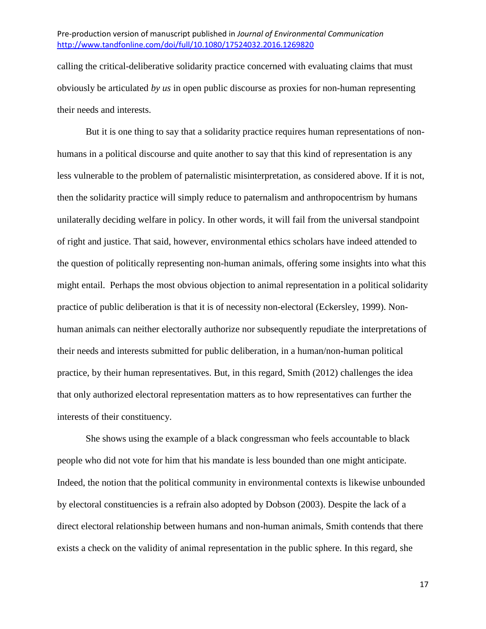calling the critical-deliberative solidarity practice concerned with evaluating claims that must obviously be articulated *by us* in open public discourse as proxies for non-human representing their needs and interests.

But it is one thing to say that a solidarity practice requires human representations of nonhumans in a political discourse and quite another to say that this kind of representation is any less vulnerable to the problem of paternalistic misinterpretation, as considered above. If it is not, then the solidarity practice will simply reduce to paternalism and anthropocentrism by humans unilaterally deciding welfare in policy. In other words, it will fail from the universal standpoint of right and justice. That said, however, environmental ethics scholars have indeed attended to the question of politically representing non-human animals, offering some insights into what this might entail. Perhaps the most obvious objection to animal representation in a political solidarity practice of public deliberation is that it is of necessity non-electoral [\(Eckersley, 1999\)](#page-26-20). Nonhuman animals can neither electorally authorize nor subsequently repudiate the interpretations of their needs and interests submitted for public deliberation, in a human/non-human political practice, by their human representatives. But, in this regard, Smith (2012) challenges the idea that only authorized electoral representation matters as to how representatives can further the interests of their constituency.

She shows using the example of a black congressman who feels accountable to black people who did not vote for him that his mandate is less bounded than one might anticipate. Indeed, the notion that the political community in environmental contexts is likewise unbounded by electoral constituencies is a refrain also adopted by [Dobson \(2003\).](#page-26-17) Despite the lack of a direct electoral relationship between humans and non-human animals, Smith contends that there exists a check on the validity of animal representation in the public sphere. In this regard, she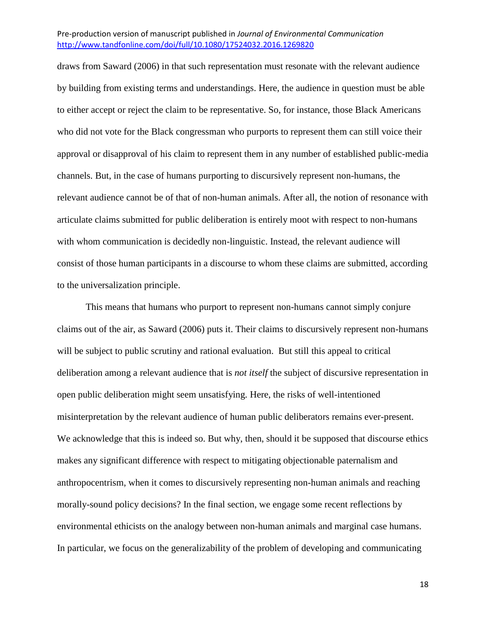draws from [Saward \(2006\)](#page-28-25) in that such representation must resonate with the relevant audience by building from existing terms and understandings. Here, the audience in question must be able to either accept or reject the claim to be representative. So, for instance, those Black Americans who did not vote for the Black congressman who purports to represent them can still voice their approval or disapproval of his claim to represent them in any number of established public-media channels. But, in the case of humans purporting to discursively represent non-humans, the relevant audience cannot be of that of non-human animals. After all, the notion of resonance with articulate claims submitted for public deliberation is entirely moot with respect to non-humans with whom communication is decidedly non-linguistic. Instead, the relevant audience will consist of those human participants in a discourse to whom these claims are submitted, according to the universalization principle.

This means that humans who purport to represent non-humans cannot simply conjure claims out of the air, as Saward (2006) puts it. Their claims to discursively represent non-humans will be subject to public scrutiny and rational evaluation. But still this appeal to critical deliberation among a relevant audience that is *not itself* the subject of discursive representation in open public deliberation might seem unsatisfying. Here, the risks of well-intentioned misinterpretation by the relevant audience of human public deliberators remains ever-present. We acknowledge that this is indeed so. But why, then, should it be supposed that discourse ethics makes any significant difference with respect to mitigating objectionable paternalism and anthropocentrism, when it comes to discursively representing non-human animals and reaching morally-sound policy decisions? In the final section, we engage some recent reflections by environmental ethicists on the analogy between non-human animals and marginal case humans. In particular, we focus on the generalizability of the problem of developing and communicating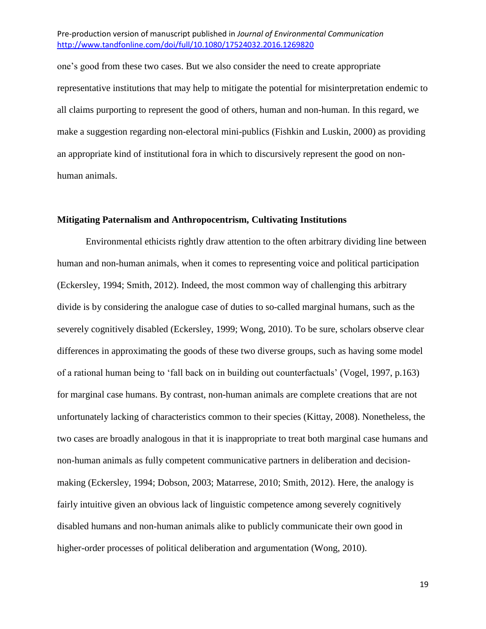one's good from these two cases. But we also consider the need to create appropriate representative institutions that may help to mitigate the potential for misinterpretation endemic to all claims purporting to represent the good of others, human and non-human. In this regard, we make a suggestion regarding non-electoral mini-publics [\(Fishkin and Luskin, 2000\)](#page-26-21) as providing an appropriate kind of institutional fora in which to discursively represent the good on nonhuman animals.

#### **Mitigating Paternalism and Anthropocentrism, Cultivating Institutions**

Environmental ethicists rightly draw attention to the often arbitrary dividing line between human and non-human animals, when it comes to representing voice and political participation [\(Eckersley, 1994;](#page-26-22) [Smith, 2012\)](#page-28-4). Indeed, the most common way of challenging this arbitrary divide is by considering the analogue case of duties to so-called marginal humans, such as the severely cognitively disabled [\(Eckersley, 1999;](#page-26-20) [Wong, 2010\)](#page-29-0). To be sure, scholars observe clear differences in approximating the goods of these two diverse groups, such as having some model of a rational human being to 'fall back on in building out counterfactuals' (Vogel, 1997, p.163) for marginal case humans. By contrast, non-human animals are complete creations that are not unfortunately lacking of characteristics common to their species [\(Kittay, 2008\)](#page-27-22). Nonetheless, the two cases are broadly analogous in that it is inappropriate to treat both marginal case humans and non-human animals as fully competent communicative partners in deliberation and decisionmaking [\(Eckersley, 1994;](#page-26-22) [Dobson, 2003;](#page-26-17) [Matarrese, 2010;](#page-27-9) [Smith, 2012\)](#page-28-4). Here, the analogy is fairly intuitive given an obvious lack of linguistic competence among severely cognitively disabled humans and non-human animals alike to publicly communicate their own good in higher-order processes of political deliberation and argumentation [\(Wong, 2010\)](#page-29-0).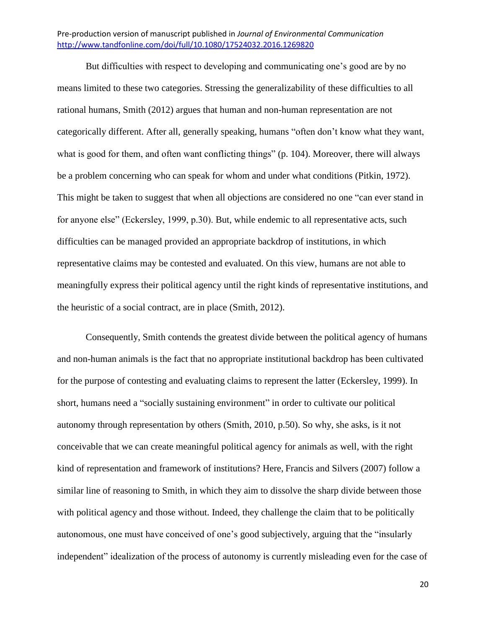But difficulties with respect to developing and communicating one's good are by no means limited to these two categories. Stressing the generalizability of these difficulties to all rational humans, Smith (2012) argues that human and non-human representation are not categorically different. After all, generally speaking, humans "often don't know what they want, what is good for them, and often want conflicting things" (p. 104). Moreover, there will always be a problem concerning who can speak for whom and under what conditions [\(Pitkin, 1972\)](#page-28-26). This might be taken to suggest that when all objections are considered no one "can ever stand in for anyone else" (Eckersley, 1999, p.30). But, while endemic to all representative acts, such difficulties can be managed provided an appropriate backdrop of institutions, in which representative claims may be contested and evaluated. On this view, humans are not able to meaningfully express their political agency until the right kinds of representative institutions, and the heuristic of a social contract, are in place [\(Smith, 2012\)](#page-28-4).

Consequently, Smith contends the greatest divide between the political agency of humans and non-human animals is the fact that no appropriate institutional backdrop has been cultivated for the purpose of contesting and evaluating claims to represent the latter [\(Eckersley, 1999\)](#page-26-20). In short, humans need a "socially sustaining environment" in order to cultivate our political autonomy through representation by others (Smith, 2010, p.50). So why, she asks, is it not conceivable that we can create meaningful political agency for animals as well, with the right kind of representation and framework of institutions? Here, [Francis and Silvers \(2007\)](#page-27-23) follow a similar line of reasoning to Smith, in which they aim to dissolve the sharp divide between those with political agency and those without. Indeed, they challenge the claim that to be politically autonomous, one must have conceived of one's good subjectively, arguing that the "insularly independent" idealization of the process of autonomy is currently misleading even for the case of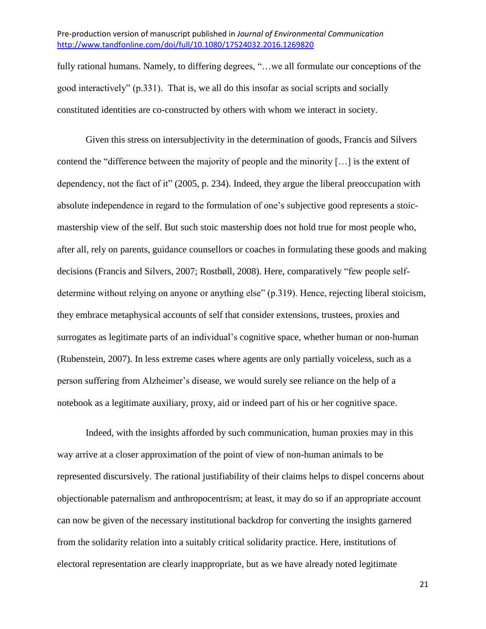fully rational humans. Namely, to differing degrees, "...we all formulate our conceptions of the good interactively" (p.331). That is, we all do this insofar as social scripts and socially constituted identities are co-constructed by others with whom we interact in society.

Given this stress on intersubjectivity in the determination of goods, Francis and Silvers contend the "difference between the majority of people and the minority […] is the extent of dependency, not the fact of it" (2005, p. 234). Indeed, they argue the liberal preoccupation with absolute independence in regard to the formulation of one's subjective good represents a stoicmastership view of the self. But such stoic mastership does not hold true for most people who, after all, rely on parents, guidance counsellors or coaches in formulating these goods and making decisions [\(Francis and Silvers, 2007;](#page-27-23) [Rostbøll, 2008\)](#page-28-27). Here, comparatively "few people selfdetermine without relying on anyone or anything else" (p.319). Hence, rejecting liberal stoicism, they embrace metaphysical accounts of self that consider extensions, trustees, proxies and surrogates as legitimate parts of an individual's cognitive space, whether human or non-human [\(Rubenstein, 2007\)](#page-28-28). In less extreme cases where agents are only partially voiceless, such as a person suffering from Alzheimer's disease, we would surely see reliance on the help of a notebook as a legitimate auxiliary, proxy, aid or indeed part of his or her cognitive space.

Indeed, with the insights afforded by such communication, human proxies may in this way arrive at a closer approximation of the point of view of non-human animals to be represented discursively. The rational justifiability of their claims helps to dispel concerns about objectionable paternalism and anthropocentrism; at least, it may do so if an appropriate account can now be given of the necessary institutional backdrop for converting the insights garnered from the solidarity relation into a suitably critical solidarity practice. Here, institutions of electoral representation are clearly inappropriate, but as we have already noted legitimate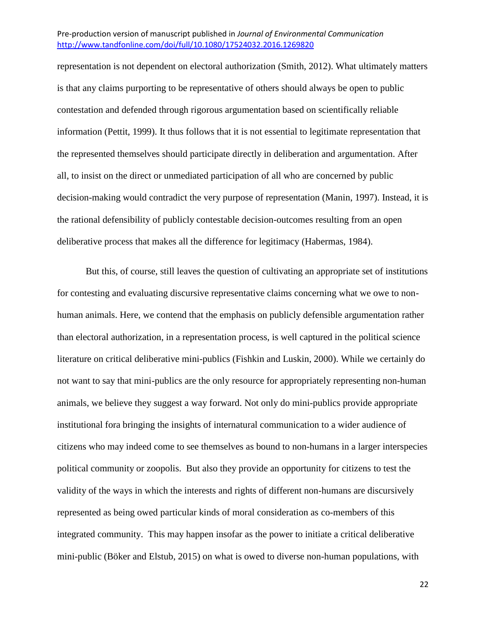representation is not dependent on electoral authorization [\(Smith, 2012\)](#page-28-4). What ultimately matters is that any claims purporting to be representative of others should always be open to public contestation and defended through rigorous argumentation based on scientifically reliable information [\(Pettit, 1999\)](#page-28-29). It thus follows that it is not essential to legitimate representation that the represented themselves should participate directly in deliberation and argumentation. After all, to insist on the direct or unmediated participation of all who are concerned by public decision-making would contradict the very purpose of representation [\(Manin, 1997\)](#page-27-24). Instead, it is the rational defensibility of publicly contestable decision-outcomes resulting from an open deliberative process that makes all the difference for legitimacy [\(Habermas, 1984\)](#page-27-25).

But this, of course, still leaves the question of cultivating an appropriate set of institutions for contesting and evaluating discursive representative claims concerning what we owe to nonhuman animals. Here, we contend that the emphasis on publicly defensible argumentation rather than electoral authorization, in a representation process, is well captured in the political science literature on critical deliberative mini-publics [\(Fishkin and Luskin, 2000\)](#page-26-21). While we certainly do not want to say that mini-publics are the only resource for appropriately representing non-human animals, we believe they suggest a way forward. Not only do mini-publics provide appropriate institutional fora bringing the insights of internatural communication to a wider audience of citizens who may indeed come to see themselves as bound to non-humans in a larger interspecies political community or zoopolis. But also they provide an opportunity for citizens to test the validity of the ways in which the interests and rights of different non-humans are discursively represented as being owed particular kinds of moral consideration as co-members of this integrated community. This may happen insofar as the power to initiate a critical deliberative mini-public [\(Böker and Elstub, 2015\)](#page-26-23) on what is owed to diverse non-human populations, with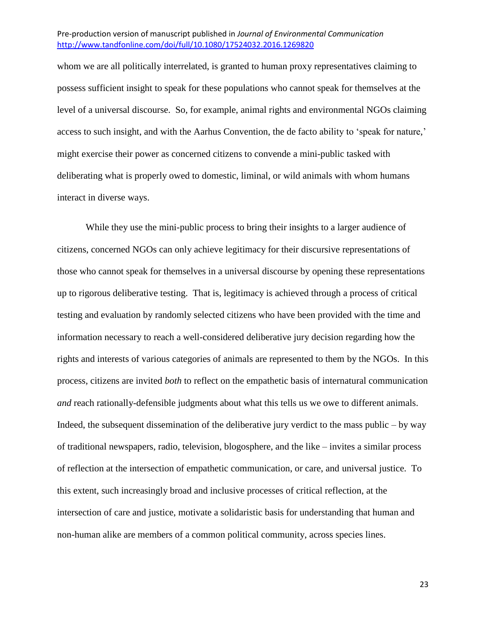whom we are all politically interrelated, is granted to human proxy representatives claiming to possess sufficient insight to speak for these populations who cannot speak for themselves at the level of a universal discourse. So, for example, animal rights and environmental NGOs claiming access to such insight, and with the Aarhus Convention, the de facto ability to 'speak for nature,' might exercise their power as concerned citizens to convende a mini-public tasked with deliberating what is properly owed to domestic, liminal, or wild animals with whom humans interact in diverse ways.

While they use the mini-public process to bring their insights to a larger audience of citizens, concerned NGOs can only achieve legitimacy for their discursive representations of those who cannot speak for themselves in a universal discourse by opening these representations up to rigorous deliberative testing. That is, legitimacy is achieved through a process of critical testing and evaluation by randomly selected citizens who have been provided with the time and information necessary to reach a well-considered deliberative jury decision regarding how the rights and interests of various categories of animals are represented to them by the NGOs. In this process, citizens are invited *both* to reflect on the empathetic basis of internatural communication *and* reach rationally-defensible judgments about what this tells us we owe to different animals. Indeed, the subsequent dissemination of the deliberative jury verdict to the mass public  $-$  by way of traditional newspapers, radio, television, blogosphere, and the like – invites a similar process of reflection at the intersection of empathetic communication, or care, and universal justice. To this extent, such increasingly broad and inclusive processes of critical reflection, at the intersection of care and justice, motivate a solidaristic basis for understanding that human and non-human alike are members of a common political community, across species lines.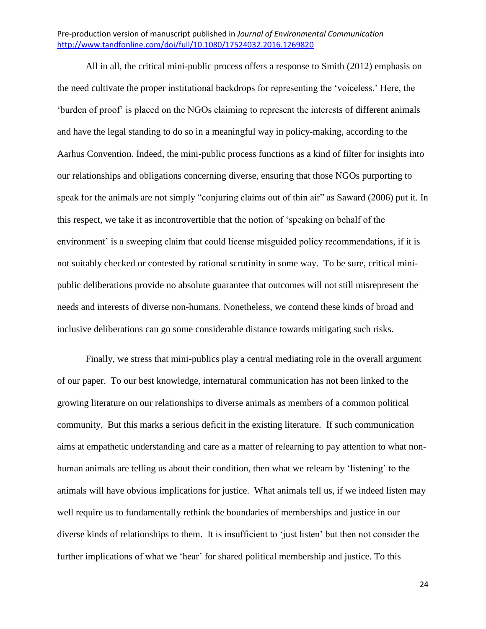All in all, the critical mini-public process offers a response to [Smith \(2012\)](#page-28-4) emphasis on the need cultivate the proper institutional backdrops for representing the 'voiceless.' Here, the 'burden of proof' is placed on the NGOs claiming to represent the interests of different animals and have the legal standing to do so in a meaningful way in policy-making, according to the Aarhus Convention. Indeed, the mini-public process functions as a kind of filter for insights into our relationships and obligations concerning diverse, ensuring that those NGOs purporting to speak for the animals are not simply "conjuring claims out of thin air" as Saward (2006) put it. In this respect, we take it as incontrovertible that the notion of 'speaking on behalf of the environment' is a sweeping claim that could license misguided policy recommendations, if it is not suitably checked or contested by rational scrutinity in some way. To be sure, critical minipublic deliberations provide no absolute guarantee that outcomes will not still misrepresent the needs and interests of diverse non-humans. Nonetheless, we contend these kinds of broad and inclusive deliberations can go some considerable distance towards mitigating such risks.

Finally, we stress that mini-publics play a central mediating role in the overall argument of our paper. To our best knowledge, internatural communication has not been linked to the growing literature on our relationships to diverse animals as members of a common political community. But this marks a serious deficit in the existing literature. If such communication aims at empathetic understanding and care as a matter of relearning to pay attention to what nonhuman animals are telling us about their condition, then what we relearn by 'listening' to the animals will have obvious implications for justice. What animals tell us, if we indeed listen may well require us to fundamentally rethink the boundaries of memberships and justice in our diverse kinds of relationships to them. It is insufficient to 'just listen' but then not consider the further implications of what we 'hear' for shared political membership and justice. To this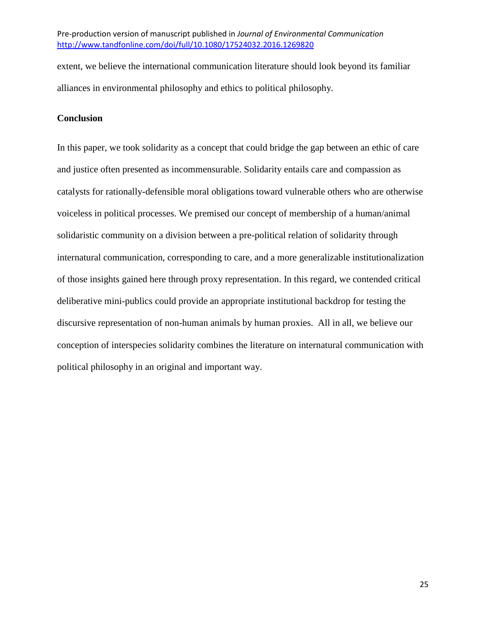extent, we believe the international communication literature should look beyond its familiar alliances in environmental philosophy and ethics to political philosophy.

## **Conclusion**

In this paper, we took solidarity as a concept that could bridge the gap between an ethic of care and justice often presented as incommensurable. Solidarity entails care and compassion as catalysts for rationally-defensible moral obligations toward vulnerable others who are otherwise voiceless in political processes. We premised our concept of membership of a human/animal solidaristic community on a division between a pre-political relation of solidarity through internatural communication, corresponding to care, and a more generalizable institutionalization of those insights gained here through proxy representation. In this regard, we contended critical deliberative mini-publics could provide an appropriate institutional backdrop for testing the discursive representation of non-human animals by human proxies. All in all, we believe our conception of interspecies solidarity combines the literature on internatural communication with political philosophy in an original and important way.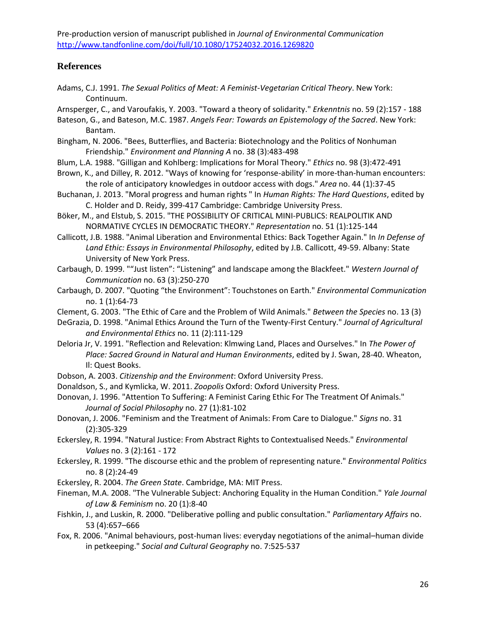## **References**

<span id="page-26-7"></span>Adams, C.J. 1991. *The Sexual Politics of Meat: A Feminist-Vegetarian Critical Theory*. New York: Continuum.

<span id="page-26-19"></span>Arnsperger, C., and Varoufakis, Y. 2003. "Toward a theory of solidarity." *Erkenntnis* no. 59 (2):157 - 188

- <span id="page-26-14"></span>Bateson, G., and Bateson, M.C. 1987. *Angels Fear: Towards an Epistemology of the Sacred*. New York: Bantam.
- <span id="page-26-9"></span>Bingham, N. 2006. "Bees, Butterflies, and Bacteria: Biotechnology and the Politics of Nonhuman Friendship." *Environment and Planning A* no. 38 (3):483-498
- <span id="page-26-18"></span>Blum, L.A. 1988. "Gilligan and Kohlberg: Implications for Moral Theory." *Ethics* no. 98 (3):472-491
- <span id="page-26-11"></span>Brown, K., and Dilley, R. 2012. "Ways of knowing for 'response-ability' in more-than-human encounters: the role of anticipatory knowledges in outdoor access with dogs." *Area* no. 44 (1):37-45
- <span id="page-26-2"></span>Buchanan, J. 2013. "Moral progress and human rights " In *Human Rights: The Hard Questions*, edited by C. Holder and D. Reidy, 399-417 Cambridge: Cambridge University Press.

<span id="page-26-23"></span>Böker, M., and Elstub, S. 2015. "THE POSSIBILITY OF CRITICAL MINI-PUBLICS: REALPOLITIK AND NORMATIVE CYCLES IN DEMOCRATIC THEORY." *Representation* no. 51 (1):125-144

- <span id="page-26-13"></span>Callicott, J.B. 1988. "Animal Liberation and Environmental Ethics: Back Together Again." In *In Defense of Land Ethic: Essays in Environmental Philosophy*, edited by J.B. Callicott, 49-59. Albany: State University of New York Press.
- <span id="page-26-5"></span>Carbaugh, D. 1999. ""Just listen": "Listening" and landscape among the Blackfeet." *Western Journal of Communication* no. 63 (3):250-270
- <span id="page-26-10"></span>Carbaugh, D. 2007. "Quoting "the Environment": Touchstones on Earth." *Environmental Communication* no. 1 (1):64-73

<span id="page-26-3"></span>Clement, G. 2003. "The Ethic of Care and the Problem of Wild Animals." *Between the Species* no. 13 (3)

- <span id="page-26-16"></span>DeGrazia, D. 1998. "Animal Ethics Around the Turn of the Twenty-First Century." *Journal of Agricultural and Environmental Ethics* no. 11 (2):111-129
- <span id="page-26-8"></span>Deloria Jr, V. 1991. "Reflection and Relevation: Klmwing Land, Places and Ourselves." In *The Power of Place: Sacred Ground in Natural and Human Environments*, edited by J. Swan, 28-40. Wheaton, Il: Quest Books.
- <span id="page-26-17"></span>Dobson, A. 2003. *Citizenship and the Environment*: Oxford University Press.
- <span id="page-26-4"></span>Donaldson, S., and Kymlicka, W. 2011. *Zoopolis* Oxford: Oxford University Press.
- <span id="page-26-0"></span>Donovan, J. 1996. "Attention To Suffering: A Feminist Caring Ethic For The Treatment Of Animals." *Journal of Social Philosophy* no. 27 (1):81-102
- <span id="page-26-15"></span>Donovan, J. 2006. "Feminism and the Treatment of Animals: From Care to Dialogue." *Signs* no. 31 (2):305-329
- <span id="page-26-22"></span>Eckersley, R. 1994. "Natural Justice: From Abstract Rights to Contextualised Needs." *Environmental Values* no. 3 (2):161 - 172
- <span id="page-26-20"></span>Eckersley, R. 1999. "The discourse ethic and the problem of representing nature." *Environmental Politics* no. 8 (2):24-49
- <span id="page-26-6"></span>Eckersley, R. 2004. *The Green State*. Cambridge, MA: MIT Press.
- <span id="page-26-1"></span>Fineman, M.A. 2008. "The Vulnerable Subject: Anchoring Equality in the Human Condition." *Yale Journal of Law & Feminism* no. 20 (1):8-40
- <span id="page-26-21"></span>Fishkin, J., and Luskin, R. 2000. "Deliberative polling and public consultation." *Parliamentary Affairs* no. 53 (4):657–666
- <span id="page-26-12"></span>Fox, R. 2006. "Animal behaviours, post-human lives: everyday negotiations of the animal–human divide in petkeeping." *Social and Cultural Geography* no. 7:525-537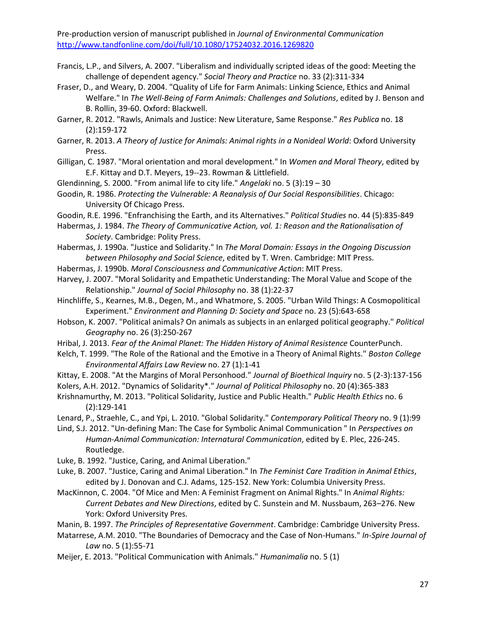- <span id="page-27-23"></span>Francis, L.P., and Silvers, A. 2007. "Liberalism and individually scripted ideas of the good: Meeting the challenge of dependent agency." *Social Theory and Practice* no. 33 (2):311-334
- Fraser, D., and Weary, D. 2004. "Quality of Life for Farm Animals: Linking Science, Ethics and Animal Welfare." In *The Well-Being of Farm Animals: Challenges and Solutions*, edited by J. Benson and B. Rollin, 39-60. Oxford: Blackwell.
- <span id="page-27-2"></span>Garner, R. 2012. "Rawls, Animals and Justice: New Literature, Same Response." *Res Publica* no. 18 (2):159-172
- <span id="page-27-5"></span>Garner, R. 2013. *A Theory of Justice for Animals: Animal rights in a Nonideal World*: Oxford University Press.
- <span id="page-27-0"></span>Gilligan, C. 1987. "Moral orientation and moral development." In *Women and Moral Theory*, edited by E.F. Kittay and D.T. Meyers, 19--23. Rowman & Littlefield.
- <span id="page-27-15"></span>Glendinning, S. 2000. "From animal life to city life." *Angelaki* no. 5 (3):19 – 30
- <span id="page-27-1"></span>Goodin, R. 1986. *Protecting the Vulnerable: A Reanalysis of Our Social Responsibilities*. Chicago: University Of Chicago Press.
- <span id="page-27-3"></span>Goodin, R.E. 1996. "Enfranchising the Earth, and its Alternatives." *Political Studies* no. 44 (5):835-849
- <span id="page-27-25"></span>Habermas, J. 1984. *The Theory of Communicative Action, vol. 1: Reason and the Rationalisation of Society*. Cambridge: Polity Press.
- <span id="page-27-7"></span>Habermas, J. 1990a. "Justice and Solidarity." In *The Moral Domain: Essays in the Ongoing Discussion between Philosophy and Social Science*, edited by T. Wren. Cambridge: MIT Press.
- <span id="page-27-21"></span>Habermas, J. 1990b. *Moral Consciousness and Communicative Action*: MIT Press.
- <span id="page-27-18"></span>Harvey, J. 2007. "Moral Solidarity and Empathetic Understanding: The Moral Value and Scope of the Relationship." *Journal of Social Philosophy* no. 38 (1):22-37
- <span id="page-27-8"></span>Hinchliffe, S., Kearnes, M.B., Degen, M., and Whatmore, S. 2005. "Urban Wild Things: A Cosmopolitical Experiment." *Environment and Planning D: Society and Space* no. 23 (5):643-658
- <span id="page-27-4"></span>Hobson, K. 2007. "Political animals? On animals as subjects in an enlarged political geography." *Political Geography* no. 26 (3):250-267
- <span id="page-27-11"></span>Hribal, J. 2013. *Fear of the Animal Planet: The Hidden History of Animal Resistence* CounterPunch.
- <span id="page-27-17"></span>Kelch, T. 1999. "The Role of the Rational and the Emotive in a Theory of Animal Rights." *Boston College Environmental Affairs Law Review* no. 27 (1):1-41
- <span id="page-27-22"></span>Kittay, E. 2008. "At the Margins of Moral Personhood." *Journal of Bioethical Inquiry* no. 5 (2-3):137-156
- <span id="page-27-19"></span>Kolers, A.H. 2012. "Dynamics of Solidarity\*." *Journal of Political Philosophy* no. 20 (4):365-383
- <span id="page-27-20"></span>Krishnamurthy, M. 2013. "Political Solidarity, Justice and Public Health." *Public Health Ethics* no. 6 (2):129-141
- <span id="page-27-6"></span>Lenard, P., Straehle, C., and Ypi, L. 2010. "Global Solidarity." *Contemporary Political Theory* no. 9 (1):99
- <span id="page-27-10"></span>Lind, S.J. 2012. "Un-defining Man: The Case for Symbolic Animal Communication " In *Perspectives on Human-Animal Communication: Internatural Communication*, edited by E. Plec, 226-245. Routledge.
- <span id="page-27-14"></span>Luke, B. 1992. "Justice, Caring, and Animal Liberation."
- <span id="page-27-16"></span>Luke, B. 2007. "Justice, Caring and Animal Liberation." In *The Feminist Care Tradition in Animal Ethics*, edited by J. Donovan and C.J. Adams, 125-152. New York: Columbia University Press.
- <span id="page-27-12"></span>MacKinnon, C. 2004. "Of Mice and Men: A Feminist Fragment on Animal Rights." In *Animal Rights: Current Debates and New Directions*, edited by C. Sunstein and M. Nussbaum, 263–276. New York: Oxford University Pres.
- <span id="page-27-24"></span>Manin, B. 1997. *The Principles of Representative Government*. Cambridge: Cambridge University Press.
- <span id="page-27-9"></span>Matarrese, A.M. 2010. "The Boundaries of Democracy and the Case of Non-Humans." *In-Spire Journal of Law* no. 5 (1):55-71
- <span id="page-27-13"></span>Meijer, E. 2013. "Political Communication with Animals." *Humanimalia* no. 5 (1)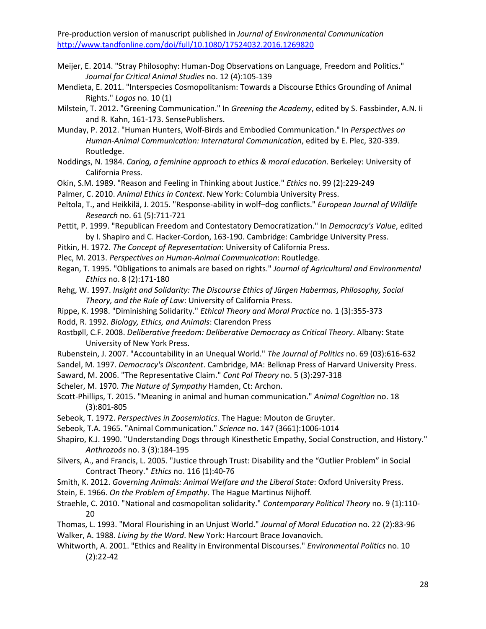- <span id="page-28-10"></span>Meijer, E. 2014. "Stray Philosophy: Human-Dog Observations on Language, Freedom and Politics." *Journal for Critical Animal Studies* no. 12 (4):105-139
- <span id="page-28-23"></span>Mendieta, E. 2011. "Interspecies Cosmopolitanism: Towards a Discourse Ethics Grounding of Animal Rights." *Logos* no. 10 (1)
- <span id="page-28-6"></span>Milstein, T. 2012. "Greening Communication." In *Greening the Academy*, edited by S. Fassbinder, A.N. Ii and R. Kahn, 161-173. SensePublishers.
- <span id="page-28-12"></span>Munday, P. 2012. "Human Hunters, Wolf-Birds and Embodied Communication." In *Perspectives on Human-Animal Communication: Internatural Communication*, edited by E. Plec, 320-339. Routledge.
- <span id="page-28-0"></span>Noddings, N. 1984. *Caring, a feminine approach to ethics & moral education*. Berkeley: University of California Press.
- <span id="page-28-1"></span>Okin, S.M. 1989. "Reason and Feeling in Thinking about Justice." *Ethics* no. 99 (2):229-249
- <span id="page-28-3"></span>Palmer, C. 2010. *Animal Ethics in Context*. New York: Columbia University Press.
- <span id="page-28-17"></span>Peltola, T., and Heikkilä, J. 2015. "Response-ability in wolf–dog conflicts." *European Journal of Wildlife Research* no. 61 (5):711-721
- <span id="page-28-29"></span>Pettit, P. 1999. "Republican Freedom and Contestatory Democratization." In *Democracy's Value*, edited by I. Shapiro and C. Hacker-Cordon, 163-190. Cambridge: Cambridge University Press.
- <span id="page-28-26"></span>Pitkin, H. 1972. *The Concept of Representation*: University of California Press.
- <span id="page-28-8"></span>Plec, M. 2013. *Perspectives on Human-Animal Communication*: Routledge.
- <span id="page-28-2"></span>Regan, T. 1995. "Obligations to animals are based on rights." *Journal of Agricultural and Environmental Ethics* no. 8 (2):171-180
- <span id="page-28-5"></span>Rehg, W. 1997. *Insight and Solidarity: The Discourse Ethics of Jürgen Habermas*, *Philosophy, Social Theory, and the Rule of Law*: University of California Press.
- <span id="page-28-21"></span>Rippe, K. 1998. "Diminishing Solidarity." *Ethical Theory and Moral Practice* no. 1 (3):355-373
- <span id="page-28-15"></span>Rodd, R. 1992. *Biology, Ethics, and Animals*: Clarendon Press
- <span id="page-28-27"></span>Rostbøll, C.F. 2008. *Deliberative freedom: Deliberative Democracy as Critical Theory*. Albany: State University of New York Press.
- <span id="page-28-28"></span>Rubenstein, J. 2007. "Accountability in an Unequal World." *The Journal of Politics* no. 69 (03):616-632
- <span id="page-28-19"></span>Sandel, M. 1997. *Democracy's Discontent*. Cambridge, MA: Belknap Press of Harvard University Press.
- <span id="page-28-25"></span>Saward, M. 2006. "The Representative Claim." *Cont Pol Theory* no. 5 (3):297-318
- <span id="page-28-13"></span>Scheler, M. 1970. *The Nature of Sympathy* Hamden, Ct: Archon.
- <span id="page-28-11"></span>Scott-Phillips, T. 2015. "Meaning in animal and human communication." *Animal Cognition* no. 18 (3):801-805
- <span id="page-28-7"></span>Sebeok, T. 1972. *Perspectives in Zoosemiotics*. The Hague: Mouton de Gruyter.
- <span id="page-28-9"></span>Sebeok, T.A. 1965. "Animal Communication." *Science* no. 147 (3661):1006-1014
- <span id="page-28-16"></span>Shapiro, K.J. 1990. "Understanding Dogs through Kinesthetic Empathy, Social Construction, and History." *Anthrozoös* no. 3 (3):184-195
- Silvers, A., and Francis, L. 2005. "Justice through Trust: Disability and the "Outlier Problem" in Social Contract Theory." *Ethics* no. 116 (1):40-76
- <span id="page-28-4"></span>Smith, K. 2012. *Governing Animals: Animal Welfare and the Liberal State*: Oxford University Press.
- <span id="page-28-18"></span>Stein, E. 1966. *On the Problem of Empathy*. The Hague Martinus Nijhoff.
- <span id="page-28-20"></span>Straehle, C. 2010. "National and cosmopolitan solidarity." *Contemporary Political Theory* no. 9 (1):110- 20
- <span id="page-28-22"></span><span id="page-28-14"></span>Thomas, L. 1993. "Moral Flourishing in an Unjust World." *Journal of Moral Education* no. 22 (2):83-96 Walker, A. 1988. *Living by the Word*. New York: Harcourt Brace Jovanovich.
- <span id="page-28-24"></span>Whitworth, A. 2001. "Ethics and Reality in Environmental Discourses." *Environmental Politics* no. 10 (2):22-42